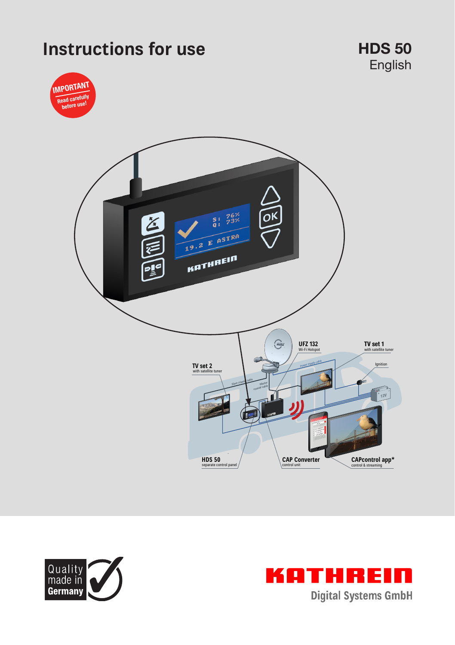# **Instructions for use HDS 50**









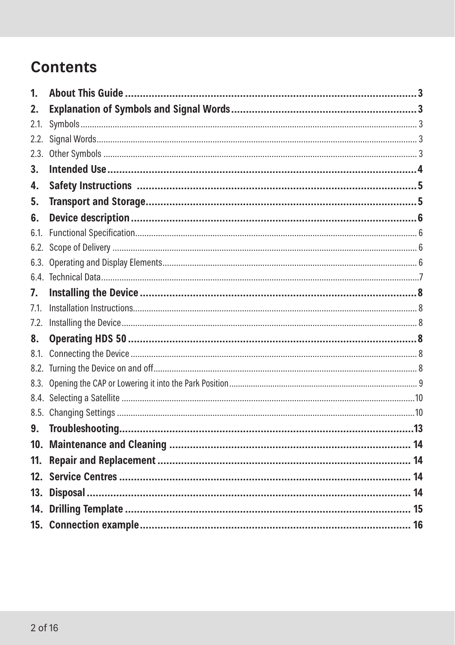# **Contents**

| 1.              |  |
|-----------------|--|
| 2.              |  |
| 2.1.            |  |
| 2.2.            |  |
| 2.3.            |  |
| 3.              |  |
| 4.              |  |
| 5.              |  |
| 6.              |  |
| 6.1.            |  |
| 6.2.            |  |
|                 |  |
|                 |  |
| 7.              |  |
| 7.1.            |  |
| 7.2.            |  |
| 8.              |  |
| 8.1.            |  |
|                 |  |
|                 |  |
|                 |  |
|                 |  |
| 9.              |  |
| 10 <sub>1</sub> |  |
| 11.             |  |
| 12 <sub>1</sub> |  |
| 13.             |  |
|                 |  |
|                 |  |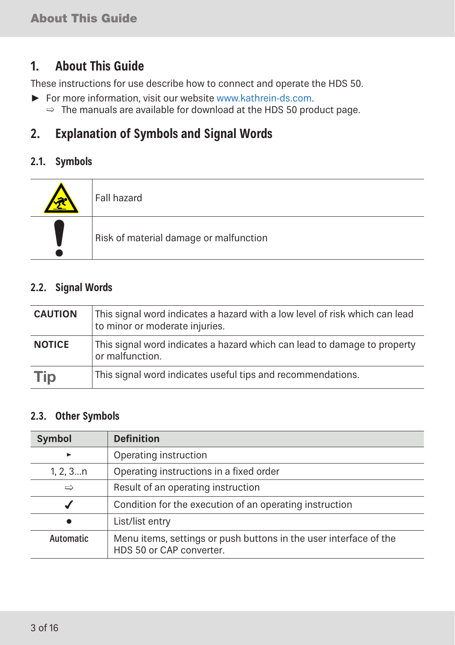# **1. About This Guide**

These instructions for use describe how to connect and operate the HDS 50.

- ► For more information, visit our website www.kathrein-ds.com.
	- $\Rightarrow$  The manuals are available for download at the HDS 50 product page.

# **2. Explanation of Symbols and Signal Words**

### **2.1. Symbols**

| Fall hazard                            |
|----------------------------------------|
| Risk of material damage or malfunction |

### **2.2. Signal Words**

| <b>CAUTION</b> | This signal word indicates a hazard with a low level of risk which can lead<br>to minor or moderate injuries. |
|----------------|---------------------------------------------------------------------------------------------------------------|
| <b>NOTICE</b>  | This signal word indicates a hazard which can lead to damage to property<br>or malfunction.                   |
| <b>Tip</b>     | This signal word indicates useful tips and recommendations.                                                   |

### **2.3. Other Symbols**

| <b>Symbol</b>                                       | <b>Definition</b>                                                                             |  |  |  |
|-----------------------------------------------------|-----------------------------------------------------------------------------------------------|--|--|--|
| $\blacktriangleright$                               | Operating instruction                                                                         |  |  |  |
| 1, 2, 3n                                            | Operating instructions in a fixed order                                                       |  |  |  |
| Result of an operating instruction<br>$\Rightarrow$ |                                                                                               |  |  |  |
|                                                     | Condition for the execution of an operating instruction                                       |  |  |  |
|                                                     | List/list entry                                                                               |  |  |  |
| Automatic                                           | Menu items, settings or push buttons in the user interface of the<br>HDS 50 or CAP converter. |  |  |  |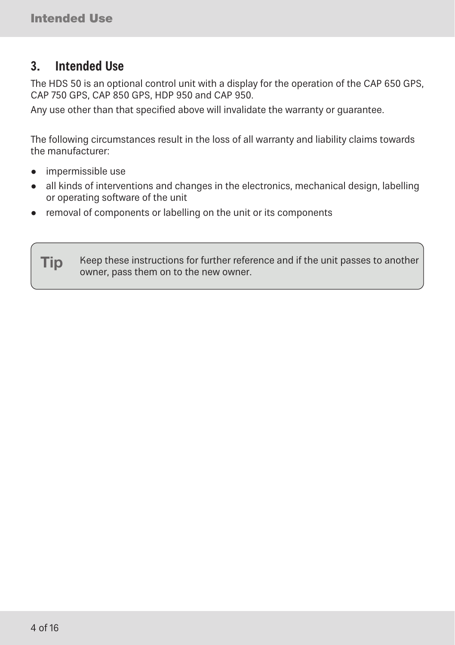# **3. Intended Use**

The HDS 50 is an optional control unit with a display for the operation of the CAP 650 GPS, CAP 750 GPS, CAP 850 GPS, HDP 950 and CAP 950.

Any use other than that specified above will invalidate the warranty or guarantee.

The following circumstances result in the loss of all warranty and liability claims towards the manufacturer:

- impermissible use
- all kinds of interventions and changes in the electronics, mechanical design, labelling or operating software of the unit
- removal of components or labelling on the unit or its components

Tip Keep these instructions for further reference and if the unit passes to another owner, pass them on to the new owner.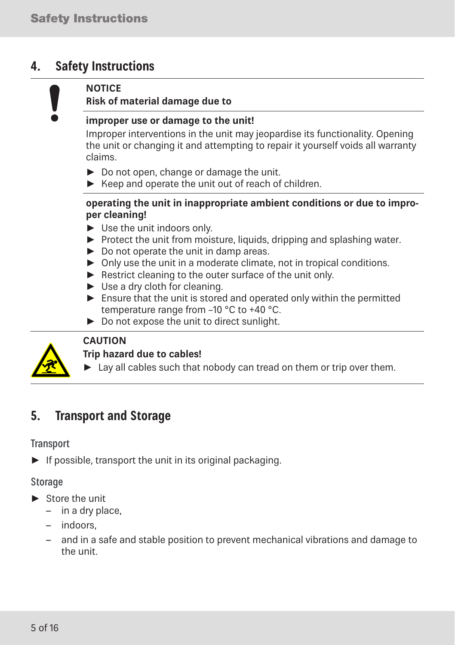# **4. Safety Instructions**

#### **NOTICE**

#### **Risk of material damage due to**

#### **improper use or damage to the unit!**

Improper interventions in the unit may jeopardise its functionality. Opening the unit or changing it and attempting to repair it yourself voids all warranty claims.

- ► Do not open, change or damage the unit.
- ► Keep and operate the unit out of reach of children.

#### **operating the unit in inappropriate ambient conditions or due to improper cleaning!**

- ► Use the unit indoors only.
- ► Protect the unit from moisture, liquids, dripping and splashing water.
- ► Do not operate the unit in damp areas.
- ► Only use the unit in a moderate climate, not in tropical conditions.
- ► Restrict cleaning to the outer surface of the unit only.
- ► Use a dry cloth for cleaning.
- $\blacktriangleright$  Ensure that the unit is stored and operated only within the permitted temperature range from –10 °C to +40 °C.
- ► Do not expose the unit to direct sunlight.



#### **CAUTION**

#### **Trip hazard due to cables!**

► Lay all cables such that nobody can tread on them or trip over them.

# **5. Transport and Storage**

#### **Transport**

► If possible, transport the unit in its original packaging.

#### Storage

- ► Store the unit
	- in a dry place,
	- indoors,
	- and in a safe and stable position to prevent mechanical vibrations and damage to the unit.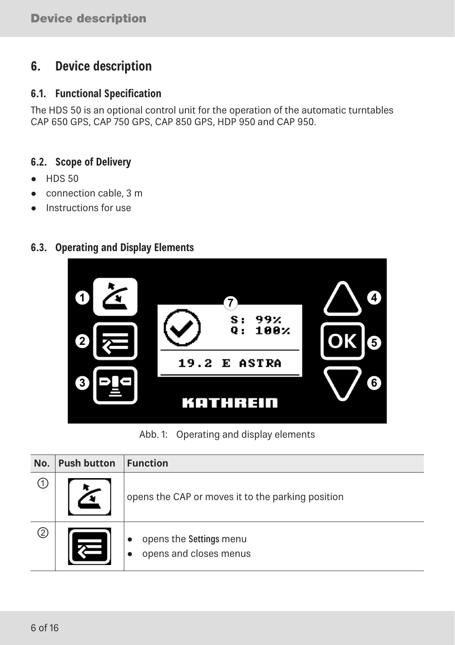# **6. Device description**

#### **6.1. Functional Specification**

The HDS 50 is an optional control unit for the operation of the automatic turntables CAP 650 GPS, CAP 750 GPS, CAP 850 GPS, HDP 950 and CAP 950.

### **6.2. Scope of Delivery**

- HDS 50
- connection cable, 3 m
- Instructions for use

### **6.3. Operating and Display Elements**



Abb. 1: Operating and display elements

| No. | <b>Push button</b> | <b>Function</b>                                   |
|-----|--------------------|---------------------------------------------------|
| 〔1〕 |                    | opens the CAP or moves it to the parking position |
| ②   |                    | opens the Settings menu<br>opens and closes menus |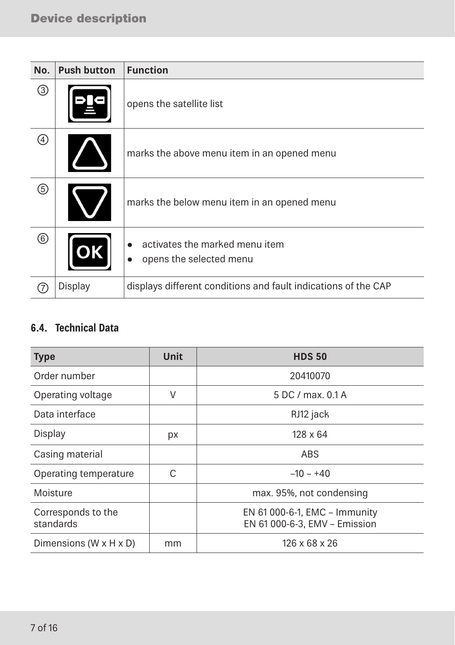| No. | <b>Push button</b> | <b>Function</b>                                                |
|-----|--------------------|----------------------------------------------------------------|
| ③   |                    | opens the satellite list                                       |
| ④   |                    | marks the above menu item in an opened menu                    |
| ⑤   |                    | marks the below menu item in an opened menu                    |
| ⊚   |                    | activates the marked menu item<br>opens the selected menu      |
|     | Display            | displays different conditions and fault indications of the CAP |

### **6.4. Technical Data**

| <b>Type</b>                          | <b>Unit</b> | <b>HDS 50</b>                                                  |  |
|--------------------------------------|-------------|----------------------------------------------------------------|--|
| Order number                         |             | 20410070                                                       |  |
| Operating voltage                    | V           | 5 DC / max. 0.1 A                                              |  |
| Data interface                       |             | RJ12 jack                                                      |  |
| Display                              | рx          | $128 \times 64$                                                |  |
| Casing material                      |             | ABS                                                            |  |
| Operating temperature                | C           | $-10 - +40$                                                    |  |
| Moisture                             |             | max. 95%, not condensing                                       |  |
| Corresponds to the<br>standards      |             | EN 61 000-6-1, EMC - Immunity<br>EN 61 000-6-3, EMV - Emission |  |
| Dimensions (W $\times$ H $\times$ D) | mm          | 126 x 68 x 26                                                  |  |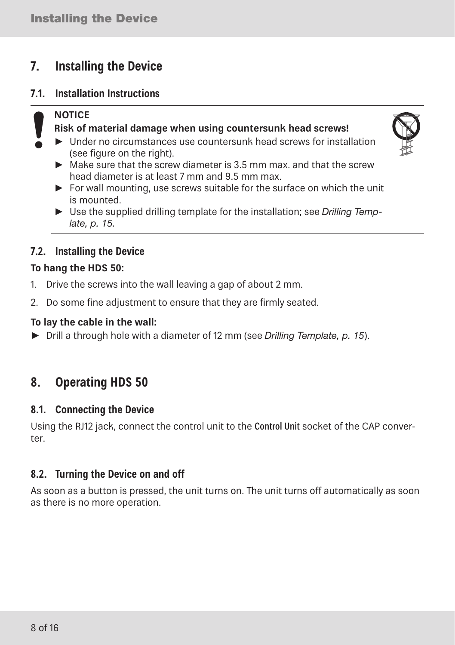# **7. Installing the Device**

#### **7.1. Installation Instructions**

### **NOTICE**

#### **Risk of material damage when using countersunk head screws!**

- $\blacktriangleright$  Under no circumstances use countersunk head screws for installation (see figure on the right).
- $\triangleright$  Make sure that the screw diameter is 3.5 mm max, and that the screw head diameter is at least 7 mm and 9.5 mm max.
- ► For wall mounting, use screws suitable for the surface on which the unit is mounted.
- ► Use the supplied drilling template for the installation; see *Drilling Template, p. 15.*

### **7.2. Installing the Device**

#### **To hang the HDS 50:**

- 1. Drive the screws into the wall leaving a gap of about 2 mm.
- 2. Do some fine adjustment to ensure that they are firmly seated.

#### **To lay the cable in the wall:**

► Drill a through hole with a diameter of 12 mm (see *Drilling Template, p. 15*).

# **8. Operating HDS 50**

#### **8.1. Connecting the Device**

Using the RJ12 jack, connect the control unit to the Control Unit socket of the CAP converter.

### **8.2. Turning the Device on and off**

As soon as a button is pressed, the unit turns on. The unit turns off automatically as soon as there is no more operation.

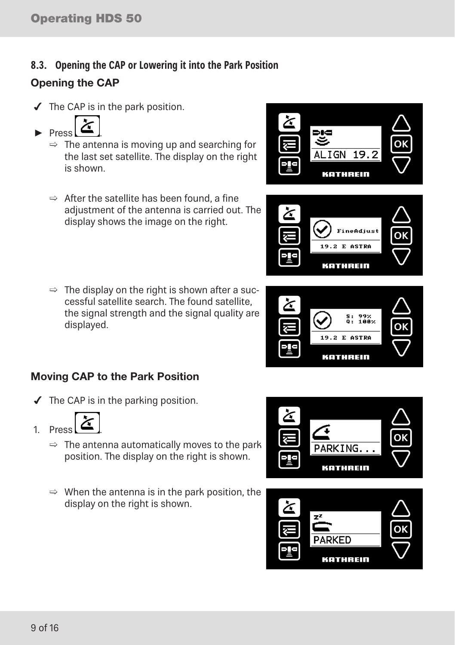## **8.3. Opening the CAP or Lowering it into the Park Position** Opening the CAP

 $\blacktriangleright$  The CAP is in the park position.



- $\Rightarrow$  The antenna is moving up and searching for the last set satellite. The display on the right is shown.
- $\Rightarrow$  After the satellite has been found, a fine adjustment of the antenna is carried out. The display shows the image on the right.
- $\Rightarrow$  The display on the right is shown after a successful satellite search. The found satellite, the signal strength and the signal quality are displayed.

### Moving CAP to the Park Position

 $\blacktriangleright$  The CAP is in the parking position.



- $\Rightarrow$  The antenna automatically moves to the park position. The display on the right is shown.
- $\Rightarrow$  When the antenna is in the park position, the display on the right is shown.



KATHREIN







**ineAdjus** 19.2 E ASTRA KATHREIN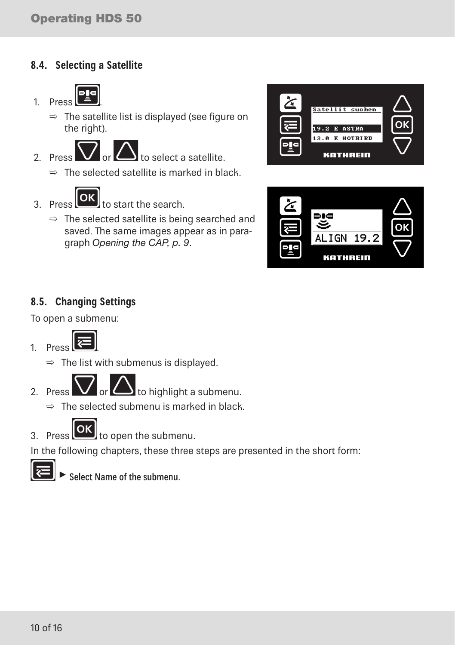### **8.4. Selecting a Satellite**



- $\Rightarrow$  The satellite list is displayed (see figure on the right).
- 

2. Press  $\sum$  or  $\sum$  to select a satellite.

- $\Rightarrow$  The selected satellite is marked in black.
- 

OK  $3.$  Press  $\left[\frac{1}{2}\right]$  to start the search.

 $\Rightarrow$  The selected satellite is being searched and saved. The same images appear as in paragraph *Opening the CAP, p. 9*.





### **8.5. Changing Settings**

To open a submenu:



 $\Rightarrow$  The list with submenus is displayed.

2. Press  $\bigvee$  or  $\bigtriangleup$  to highlight a submenu.

 $\Rightarrow$  The selected submenu is marked in black.

 $\alpha$ 

 $\overline{3}$ . Press  $\overline{u}$  to open the submenu.

In the following chapters, these three steps are presented in the short form:



 $\blacktriangleright$  Select Name of the submenu.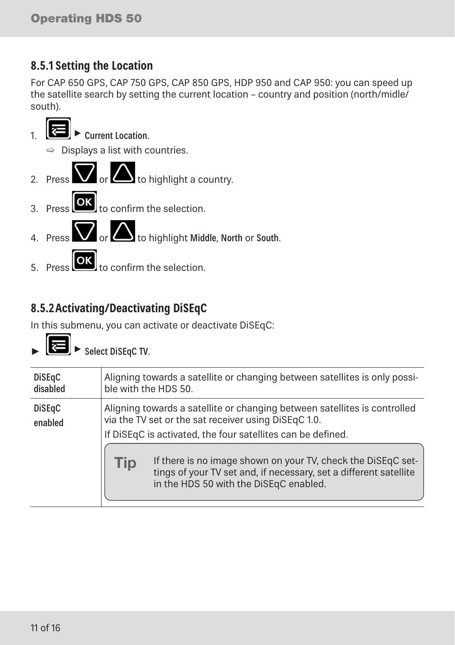# **8.5.1 Setting the Location**

For CAP 650 GPS, CAP 750 GPS, CAP 850 GPS, HDP 950 and CAP 950: you can speed up the satellite search by setting the current location – country and position (north/midle/ south).



 $\begin{bmatrix} 5. \end{bmatrix}$  Press  $\begin{bmatrix} 0 \end{bmatrix}$  to confirm the selection.

# **8.5.2Activating/Deactivating DiSEqC**

In this submenu, you can activate or deactivate DiSEqC:



| <b>DiSEqC</b><br>disabled | Aligning towards a satellite or changing between satellites is only possi-<br>ble with the HDS 50. |                                                                                                                                                                                                                                                                                                                                                                                 |  |  |
|---------------------------|----------------------------------------------------------------------------------------------------|---------------------------------------------------------------------------------------------------------------------------------------------------------------------------------------------------------------------------------------------------------------------------------------------------------------------------------------------------------------------------------|--|--|
| <b>DiSEqC</b><br>enabled  | Tip                                                                                                | Aligning towards a satellite or changing between satellites is controlled<br>via the TV set or the sat receiver using DiSEqC 1.0.<br>If DiSEqC is activated, the four satellites can be defined.<br>If there is no image shown on your TV, check the DiSEqC set-<br>tings of your TV set and, if necessary, set a different satellite<br>in the HDS 50 with the DiSEqC enabled. |  |  |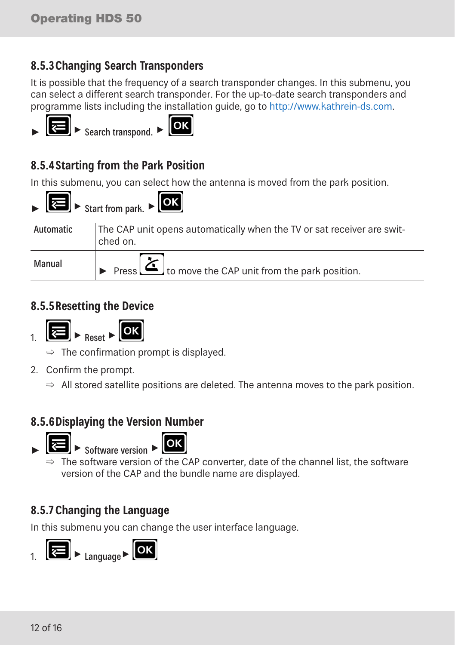## **8.5.3Changing Search Transponders**

It is possible that the frequency of a search transponder changes. In this submenu, you can select a different search transponder. For the up-to-date search transponders and programme lists including the installation guide, go to http://www.kathrein-ds.com.





# **8.5.4Starting from the Park Position**

In this submenu, you can select how the antenna is moved from the park position.



### **8.5.5Resetting the Device**





- $\Rightarrow$  The confirmation prompt is displayed.
- 2. Confirm the prompt.
	- $\Rightarrow$  All stored satellite positions are deleted. The antenna moves to the park position.

### **8.5.6Displaying the Version Number**





 $\blacktriangleright$  Software version  $\blacktriangleright$ 

 $\Rightarrow$  The software version of the CAP converter, date of the channel list, the software version of the CAP and the bundle name are displayed.

## **8.5.7 Changing the Language**

In this submenu you can change the user interface language.

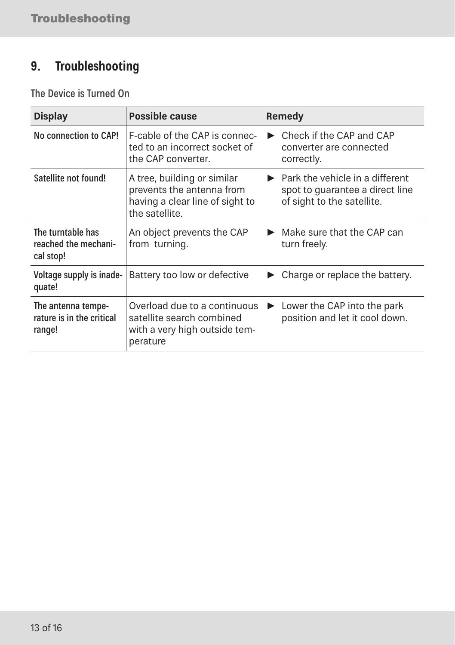# **9. Troubleshooting**

The Device is Turned On

| <b>Display</b>                                            | Possible cause                                                                                                |  | Remedy                                                                                                                 |  |  |
|-----------------------------------------------------------|---------------------------------------------------------------------------------------------------------------|--|------------------------------------------------------------------------------------------------------------------------|--|--|
| No connection to CAP!                                     | F-cable of the CAP is connec-<br>ted to an incorrect socket of<br>the CAP converter.                          |  | Check if the CAP and CAP<br>converter are connected<br>correctly.                                                      |  |  |
| Satellite not found!                                      | A tree, building or similar<br>prevents the antenna from<br>having a clear line of sight to<br>the satellite. |  | $\blacktriangleright$ Park the vehicle in a different<br>spot to quarantee a direct line<br>of sight to the satellite. |  |  |
| The turntable has<br>reached the mechani-<br>cal stop!    | An object prevents the CAP<br>from turning.                                                                   |  | Make sure that the CAP can<br>turn freely.                                                                             |  |  |
| Voltage supply is inade-<br>quate!                        | Battery too low or defective                                                                                  |  | ► Charge or replace the battery.                                                                                       |  |  |
| The antenna tempe-<br>rature is in the critical<br>range! | Overload due to a continuous<br>satellite search combined<br>with a very high outside tem-<br>perature        |  | Lower the CAP into the park<br>position and let it cool down.                                                          |  |  |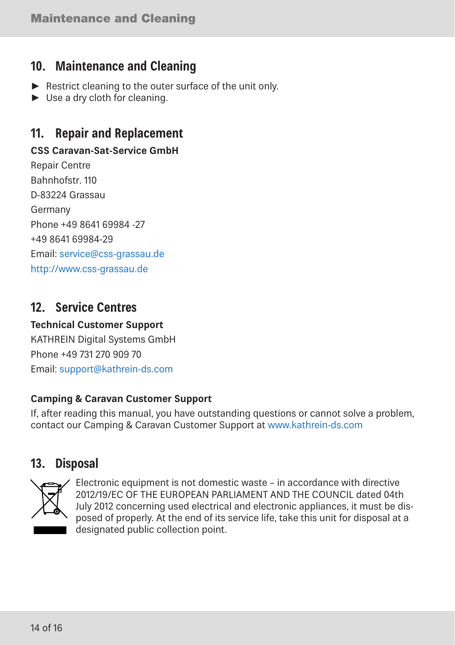# **10. Maintenance and Cleaning**

- ► Restrict cleaning to the outer surface of the unit only.
- ► Use a dry cloth for cleaning.

# **11. Repair and Replacement**

### **CSS Caravan-Sat-Service GmbH**

Repair Centre Bahnhofstr. 110 D-83224 Grassau Germany Phone +49 8641 69984 -27 +49 8641 69984-29 Email: service@css-grassau.de http://www.css-grassau.de

# **12. Service Centres**

### **Technical Customer Support** KATHREIN Digital Systems GmbH Phone +49 731 270 909 70 Email: support@kathrein-ds.com

### **Camping & Caravan Customer Support**

If, after reading this manual, you have outstanding questions or cannot solve a problem, contact our Camping & Caravan Customer Support at www.kathrein-ds.com

# **13. Disposal**



Electronic equipment is not domestic waste – in accordance with directive 2012/19/EC OF THE EUROPEAN PARLIAMENT AND THE COUNCIL dated 04th July 2012 concerning used electrical and electronic appliances, it must be disposed of properly. At the end of its service life, take this unit for disposal at a designated public collection point.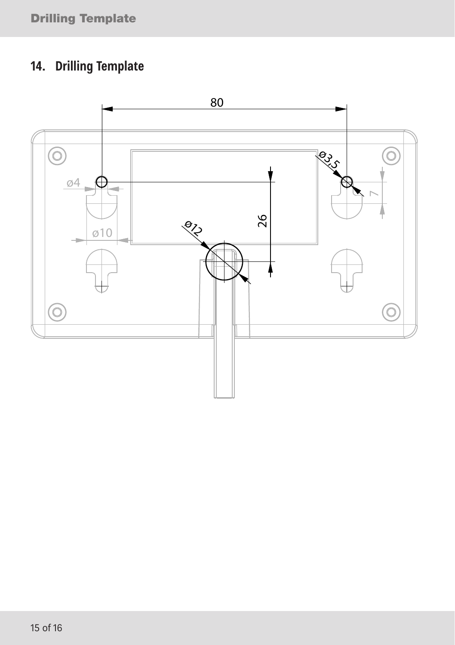# **14. Drilling Template**